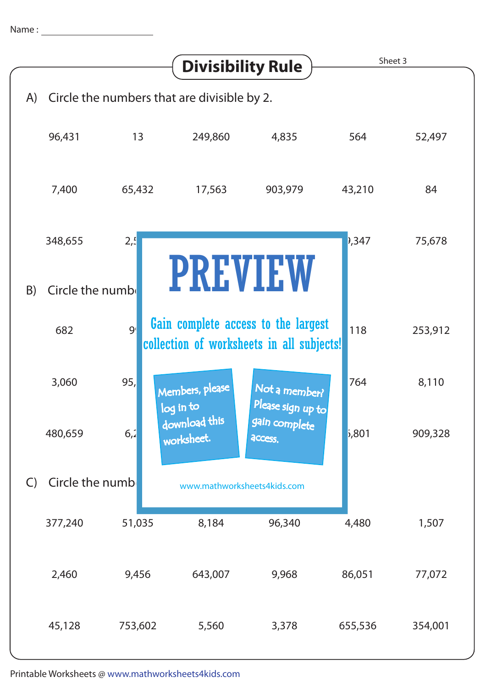|                                                   | <b>Divisibility Rule</b> |                |                                                                                  | Sheet 3                            |         |         |
|---------------------------------------------------|--------------------------|----------------|----------------------------------------------------------------------------------|------------------------------------|---------|---------|
| Circle the numbers that are divisible by 2.<br>A) |                          |                |                                                                                  |                                    |         |         |
|                                                   | 96,431                   | 13             | 249,860                                                                          | 4,835                              | 564     | 52,497  |
|                                                   | 7,400                    | 65,432         | 17,563                                                                           | 903,979                            | 43,210  | 84      |
|                                                   | 348,655                  | 2 <sub>1</sub> |                                                                                  |                                    | 347     | 75,678  |
| <b>PREVIEW</b><br>Circle the numb<br>B)           |                          |                |                                                                                  |                                    |         |         |
|                                                   | 9 <sub>1</sub><br>682    |                | Gain complete access to the largest<br>collection of worksheets in all subjects! |                                    |         | 253,912 |
|                                                   | 3,060                    | 95,            | Members, please<br>log in to                                                     | Not a member?<br>Please sign up to | 764     | 8,110   |
|                                                   | 480,659                  | 6,2            | download this<br>worksheet.                                                      | gain complete<br>access.           | 5,801   | 909,328 |
| $\mathsf{C}$                                      | Circle the numb          |                | www.mathworksheets4kids.com                                                      |                                    |         |         |
|                                                   | 377,240                  | 51,035         | 8,184                                                                            | 96,340                             | 4,480   | 1,507   |
|                                                   | 2,460                    | 9,456          | 643,007                                                                          | 9,968                              | 86,051  | 77,072  |
|                                                   | 45,128                   | 753,602        | 5,560                                                                            | 3,378                              | 655,536 | 354,001 |